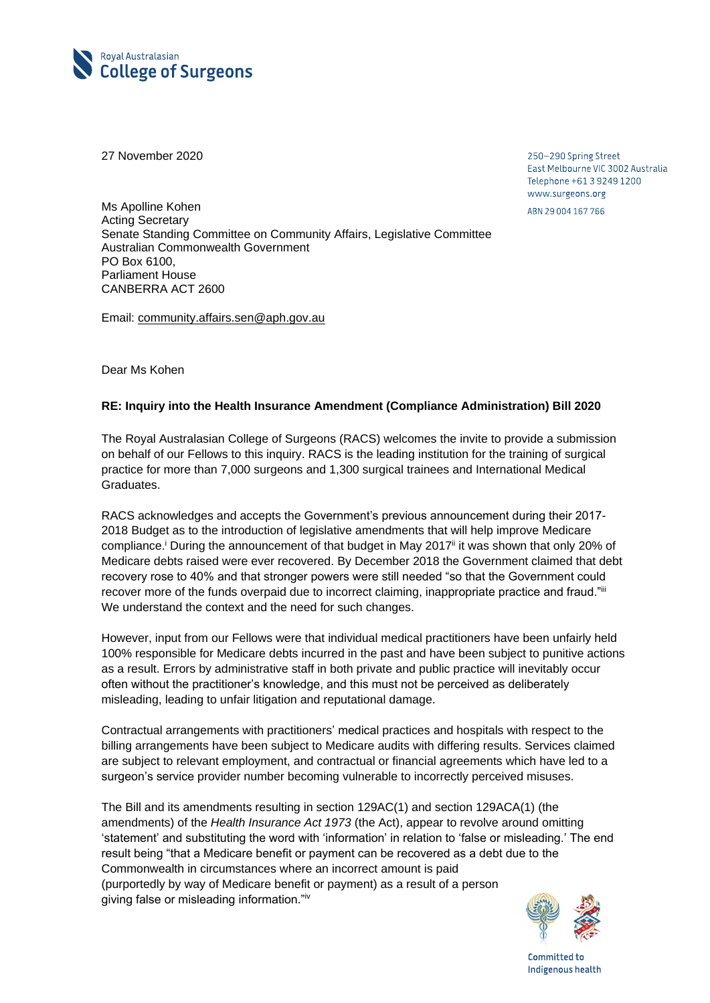

27 November 2020

250-290 Spring Street East Melbourne VIC 3002 Australia Telephone +61 3 9249 1200 www.surgeons.org ABN 29 004 167 766

Ms Apolline Kohen Acting Secretary Senate Standing Committee on Community Affairs, Legislative Committee Australian Commonwealth Government PO Box 6100, Parliament House CANBERRA ACT 2600

Email: [community.affairs.sen@aph.gov.au](mailto:community.affairs.sen@aph.gov.au)

Dear Ms Kohen

## **RE: Inquiry into the Health Insurance Amendment (Compliance Administration) Bill 2020**

The Royal Australasian College of Surgeons (RACS) welcomes the invite to provide a submission on behalf of our Fellows to this inquiry. RACS is the leading institution for the training of surgical practice for more than 7,000 surgeons and 1,300 surgical trainees and International Medical Graduates.

RACS acknowledges and accepts the Government's previous announcement during their 2017- 2018 Budget as to the introduction of legislative amendments that will help improve Medicare compliance.<sup>i</sup> During the announcement of that budget in May 2017<sup>ii</sup> it was shown that only 20% of Medicare debts raised were ever recovered. By December 2018 the Government claimed that debt recovery rose to 40% and that stronger powers were still needed "so that the Government could recover more of the funds overpaid due to incorrect claiming, inappropriate practice and fraud."iii We understand the context and the need for such changes.

However, input from our Fellows were that individual medical practitioners have been unfairly held 100% responsible for Medicare debts incurred in the past and have been subject to punitive actions as a result. Errors by administrative staff in both private and public practice will inevitably occur often without the practitioner's knowledge, and this must not be perceived as deliberately misleading, leading to unfair litigation and reputational damage.

Contractual arrangements with practitioners' medical practices and hospitals with respect to the billing arrangements have been subject to Medicare audits with differing results. Services claimed are subject to relevant employment, and contractual or financial agreements which have led to a surgeon's service provider number becoming vulnerable to incorrectly perceived misuses.

The Bill and its amendments resulting in section 129AC(1) and section 129ACA(1) (the amendments) of the *Health Insurance Act 1973* (the Act), appear to revolve around omitting 'statement' and substituting the word with 'information' in relation to 'false or misleading.' The end result being "that a Medicare benefit or payment can be recovered as a debt due to the Commonwealth in circumstances where an incorrect amount is paid (purportedly by way of Medicare benefit or payment) as a result of a person giving false or misleading information."iv



Committed to Indigenous health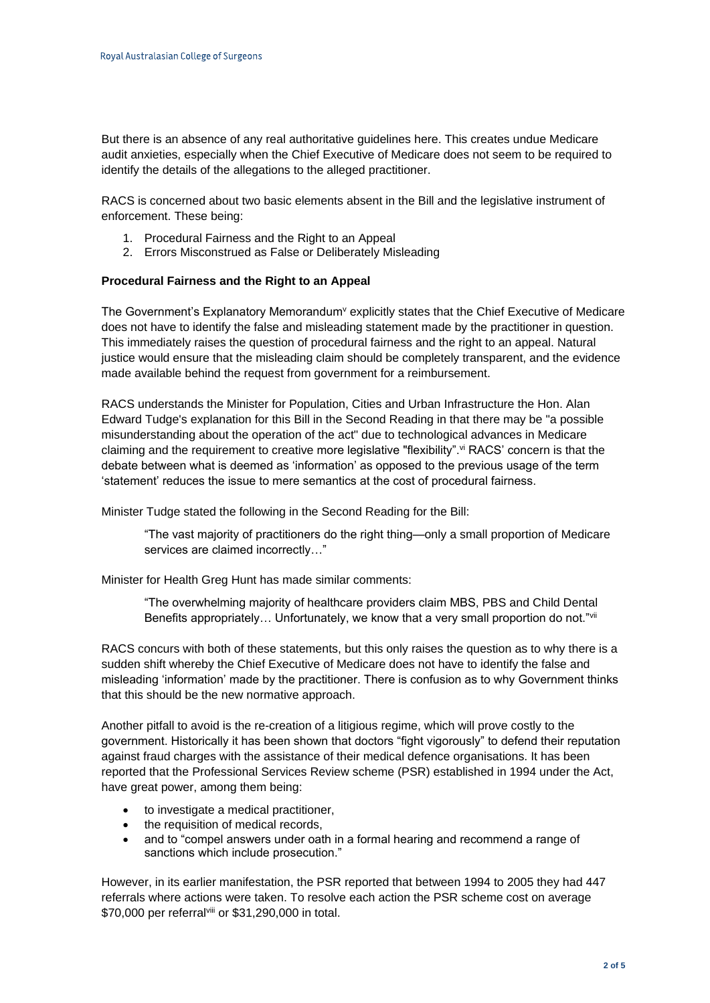But there is an absence of any real authoritative guidelines here. This creates undue Medicare audit anxieties, especially when the Chief Executive of Medicare does not seem to be required to identify the details of the allegations to the alleged practitioner.

RACS is concerned about two basic elements absent in the Bill and the legislative instrument of enforcement. These being:

- 1. Procedural Fairness and the Right to an Appeal
- 2. Errors Misconstrued as False or Deliberately Misleading

## **Procedural Fairness and the Right to an Appeal**

The Government's Explanatory Memorandum<sup>y</sup> explicitly states that the Chief Executive of Medicare does not have to identify the false and misleading statement made by the practitioner in question. This immediately raises the question of procedural fairness and the right to an appeal. Natural justice would ensure that the misleading claim should be completely transparent, and the evidence made available behind the request from government for a reimbursement.

RACS understands the Minister for Population, Cities and Urban Infrastructure the Hon. Alan Edward Tudge's explanation for this Bill in the Second Reading in that there may be "a possible misunderstanding about the operation of the act" due to technological advances in Medicare claiming and the requirement to creative more legislative "flexibility". vi RACS' concern is that the debate between what is deemed as 'information' as opposed to the previous usage of the term 'statement' reduces the issue to mere semantics at the cost of procedural fairness.

Minister Tudge stated the following in the Second Reading for the Bill:

"The vast majority of practitioners do the right thing—only a small proportion of Medicare services are claimed incorrectly…"

Minister for Health Greg Hunt has made similar comments:

"The overwhelming majority of healthcare providers claim MBS, PBS and Child Dental Benefits appropriately... Unfortunately, we know that a very small proportion do not."vii

RACS concurs with both of these statements, but this only raises the question as to why there is a sudden shift whereby the Chief Executive of Medicare does not have to identify the false and misleading 'information' made by the practitioner. There is confusion as to why Government thinks that this should be the new normative approach.

Another pitfall to avoid is the re-creation of a litigious regime, which will prove costly to the government. Historically it has been shown that doctors "fight vigorously" to defend their reputation against fraud charges with the assistance of their medical defence organisations. It has been reported that the Professional Services Review scheme (PSR) established in 1994 under the Act, have great power, among them being:

- to investigate a medical practitioner,
- the requisition of medical records,
- and to "compel answers under oath in a formal hearing and recommend a range of sanctions which include prosecution."

However, in its earlier manifestation, the PSR reported that between 1994 to 2005 they had 447 referrals where actions were taken. To resolve each action the PSR scheme cost on average \$70,000 per referralviii or \$31,290,000 in total.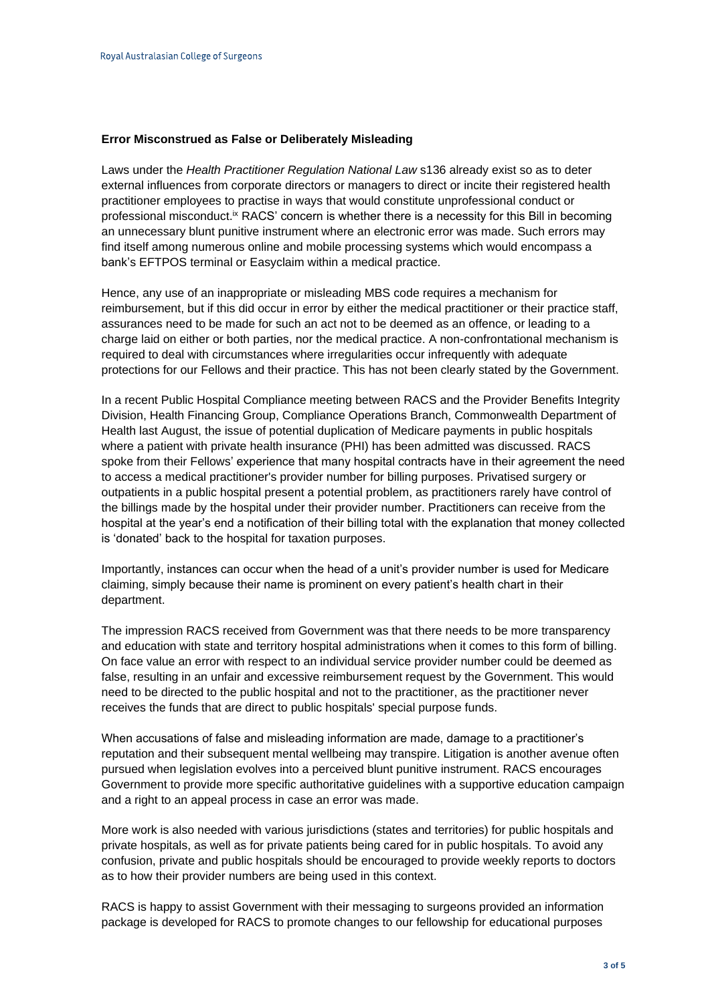## **Error Misconstrued as False or Deliberately Misleading**

Laws under the *Health Practitioner Regulation National Law* s136 already exist so as to deter external influences from corporate directors or managers to direct or incite their registered health practitioner employees to practise in ways that would constitute unprofessional conduct or professional misconduct.<sup>ix</sup> RACS' concern is whether there is a necessity for this Bill in becoming an unnecessary blunt punitive instrument where an electronic error was made. Such errors may find itself among numerous online and mobile processing systems which would encompass a bank's EFTPOS terminal or Easyclaim within a medical practice.

Hence, any use of an inappropriate or misleading MBS code requires a mechanism for reimbursement, but if this did occur in error by either the medical practitioner or their practice staff, assurances need to be made for such an act not to be deemed as an offence, or leading to a charge laid on either or both parties, nor the medical practice. A non-confrontational mechanism is required to deal with circumstances where irregularities occur infrequently with adequate protections for our Fellows and their practice. This has not been clearly stated by the Government.

In a recent Public Hospital Compliance meeting between RACS and the Provider Benefits Integrity Division, Health Financing Group, Compliance Operations Branch, Commonwealth Department of Health last August, the issue of potential duplication of Medicare payments in public hospitals where a patient with private health insurance (PHI) has been admitted was discussed. RACS spoke from their Fellows' experience that many hospital contracts have in their agreement the need to access a medical practitioner's provider number for billing purposes. Privatised surgery or outpatients in a public hospital present a potential problem, as practitioners rarely have control of the billings made by the hospital under their provider number. Practitioners can receive from the hospital at the year's end a notification of their billing total with the explanation that money collected is 'donated' back to the hospital for taxation purposes.

Importantly, instances can occur when the head of a unit's provider number is used for Medicare claiming, simply because their name is prominent on every patient's health chart in their department.

The impression RACS received from Government was that there needs to be more transparency and education with state and territory hospital administrations when it comes to this form of billing. On face value an error with respect to an individual service provider number could be deemed as false, resulting in an unfair and excessive reimbursement request by the Government. This would need to be directed to the public hospital and not to the practitioner, as the practitioner never receives the funds that are direct to public hospitals' special purpose funds.

When accusations of false and misleading information are made, damage to a practitioner's reputation and their subsequent mental wellbeing may transpire. Litigation is another avenue often pursued when legislation evolves into a perceived blunt punitive instrument. RACS encourages Government to provide more specific authoritative guidelines with a supportive education campaign and a right to an appeal process in case an error was made.

More work is also needed with various jurisdictions (states and territories) for public hospitals and private hospitals, as well as for private patients being cared for in public hospitals. To avoid any confusion, private and public hospitals should be encouraged to provide weekly reports to doctors as to how their provider numbers are being used in this context.

RACS is happy to assist Government with their messaging to surgeons provided an information package is developed for RACS to promote changes to our fellowship for educational purposes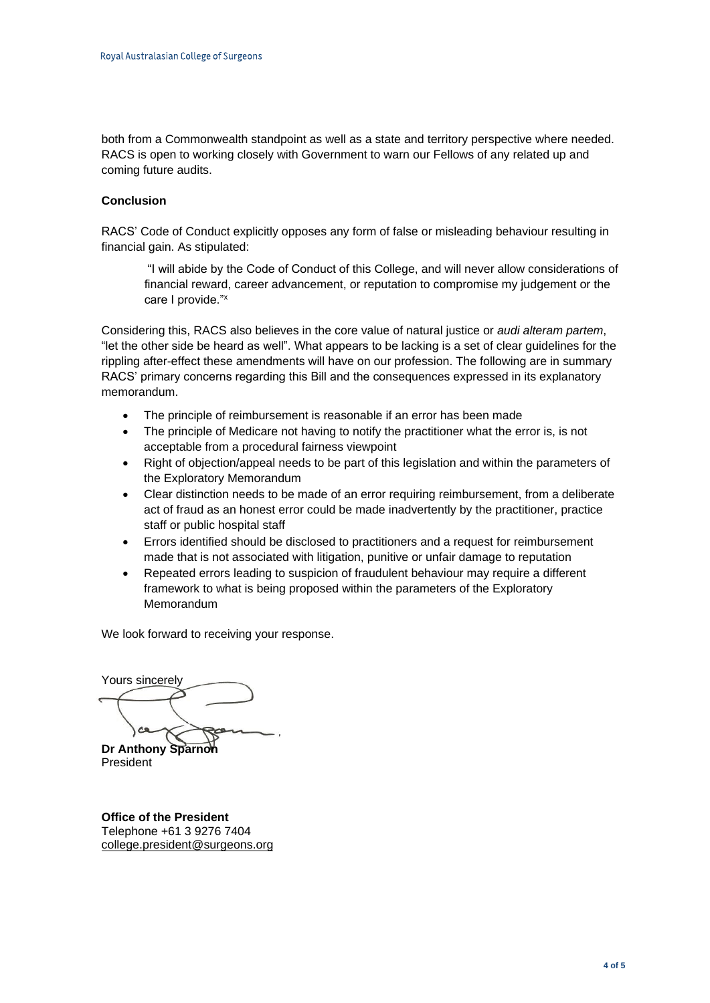both from a Commonwealth standpoint as well as a state and territory perspective where needed. RACS is open to working closely with Government to warn our Fellows of any related up and coming future audits.

## **Conclusion**

RACS' Code of Conduct explicitly opposes any form of false or misleading behaviour resulting in financial gain. As stipulated:

"I will abide by the Code of Conduct of this College, and will never allow considerations of financial reward, career advancement, or reputation to compromise my judgement or the care I provide."<sup>x</sup>

Considering this, RACS also believes in the core value of natural justice or *audi alteram partem*, "let the other side be heard as well". What appears to be lacking is a set of clear guidelines for the rippling after-effect these amendments will have on our profession. The following are in summary RACS' primary concerns regarding this Bill and the consequences expressed in its explanatory memorandum.

- The principle of reimbursement is reasonable if an error has been made
- The principle of Medicare not having to notify the practitioner what the error is, is not acceptable from a procedural fairness viewpoint
- Right of objection/appeal needs to be part of this legislation and within the parameters of the Exploratory Memorandum
- Clear distinction needs to be made of an error requiring reimbursement, from a deliberate act of fraud as an honest error could be made inadvertently by the practitioner, practice staff or public hospital staff
- Errors identified should be disclosed to practitioners and a request for reimbursement made that is not associated with litigation, punitive or unfair damage to reputation
- Repeated errors leading to suspicion of fraudulent behaviour may require a different framework to what is being proposed within the parameters of the Exploratory **Memorandum**

We look forward to receiving your response.

Yours sincerely **Dr Anthony Sparnor** 

President

**Office of the President** Telephone +61 3 9276 7404 [college.president@surgeons.org](mailto:college.president@surgeons.org)